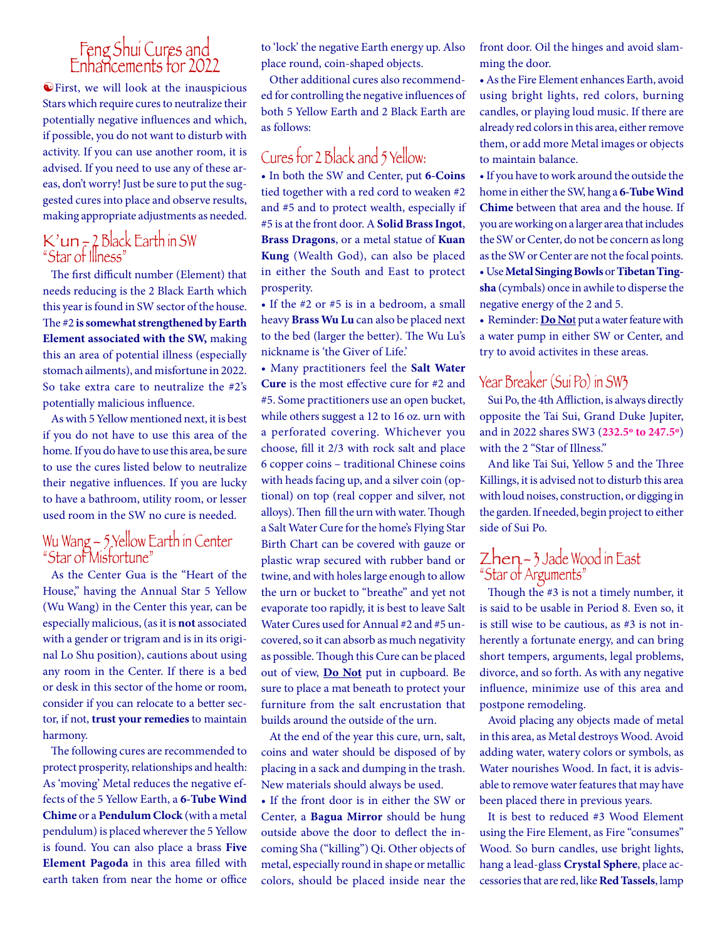# Feng Shui Cures and Enhancements for 2022

 $\triangle$  First, we will look at the inauspicious Stars which require cures to neutralize their potentially negative influences and which, if possible, you do not want to disturb with activity. If you can use another room, it is advised. If you need to use any of these areas, don't worry! Just be sure to put the suggested cures into place and observe results, making appropriate adjustments as needed.

## $K'$ un  $\tau$  2 Black Earth in SW "Star of Illness"

The first difficult number (Element) that needs reducing is the 2 Black Earth which this year is found in SW sector of the house. The #2 **is somewhat strengthened by Earth Element associated with the SW,** making this an area of potential illness (especially stomach ailments), and misfortune in 2022. So take extra care to neutralize the #2's potentially malicious influence.

As with 5 Yellow mentioned next, it is best if you do not have to use this area of the home. If you do have to use this area, be sure to use the cures listed below to neutralize their negative influences. If you are lucky to have a bathroom, utility room, or lesser used room in the SW no cure is needed.

## Wu wang –  $\lambda$  Yellow Earth in Center "Star of Misfortune"

As the Center Gua is the "Heart of the House," having the Annual Star 5 Yellow (Wu Wang) in the Center this year, can be especially malicious, (as it is **not** associated with a gender or trigram and is in its original Lo Shu position), cautions about using any room in the Center. If there is a bed or desk in this sector of the home or room, consider if you can relocate to a better sector, if not, **trust your remedies** to maintain harmony.

The following cures are recommended to protect prosperity, relationships and health: As 'moving' Metal reduces the negative effects of the 5 Yellow Earth, a **6-Tube Wind Chime** or a **Pendulum Clock** (with a metal pendulum) is placed wherever the 5 Yellow is found. You can also place a brass **Five Element Pagoda** in this area filled with earth taken from near the home or office to 'lock' the negative Earth energy up. Also place round, coin-shaped objects.

Other additional cures also recommended for controlling the negative influences of both 5 Yellow Earth and 2 Black Earth are as follows:

## Cures for 2 Black and 5 Yellow:

• In both the SW and Center, put **6-Coins** tied together with a red cord to weaken #2 and #5 and to protect wealth, especially if #5 is at the front door. A **Solid Brass Ingot**, **Brass Dragons**, or a metal statue of **Kuan Kung** (Wealth God), can also be placed in either the South and East to protect prosperity.

• If the #2 or #5 is in a bedroom, a small heavy **Brass Wu Lu** can also be placed next to the bed (larger the better). The Wu Lu's nickname is 'the Giver of Life.'

• Many practitioners feel the **Salt Water Cure** is the most effective cure for #2 and #5. Some practitioners use an open bucket, while others suggest a 12 to 16 oz. urn with a perforated covering. Whichever you choose, fill it 2/3 with rock salt and place 6 copper coins – traditional Chinese coins with heads facing up, and a silver coin (optional) on top (real copper and silver, not alloys). Then fill the urn with water. Though a Salt Water Cure for the home's Flying Star Birth Chart can be covered with gauze or plastic wrap secured with rubber band or twine, and with holes large enough to allow the urn or bucket to "breathe" and yet not evaporate too rapidly, it is best to leave Salt Water Cures used for Annual #2 and #5 uncovered, so it can absorb as much negativity as possible. Though this Cure can be placed out of view, **Do Not** put in cupboard. Be sure to place a mat beneath to protect your furniture from the salt encrustation that builds around the outside of the urn.

At the end of the year this cure, urn, salt, coins and water should be disposed of by placing in a sack and dumping in the trash. New materials should always be used.

• If the front door is in either the SW or Center, a **Bagua Mirror** should be hung outside above the door to deflect the incoming Sha ("killing") Qi. Other objects of metal, especially round in shape or metallic colors, should be placed inside near the front door. Oil the hinges and avoid slamming the door.

• As the Fire Element enhances Earth, avoid using bright lights, red colors, burning candles, or playing loud music. If there are already red colors in this area, either remove them, or add more Metal images or objects to maintain balance.

• If you have to work around the outside the home in either the SW, hang a **6-Tube Wind Chime** between that area and the house. If you are working on a larger area that includes the SW or Center, do not be concern as long as the SW or Center are not the focal points. • Use **Metal Singing Bowls** or **Tibetan Tingsha** (cymbals) once in awhile to disperse the negative energy of the 2 and 5.

• Reminder: **Do No**t put a water feature with a water pump in either SW or Center, and try to avoid activites in these areas.

## Year Breaker (Sui Po) in SW3

Sui Po, the 4th Affliction, is always directly opposite the Tai Sui, Grand Duke Jupiter, and in 2022 shares SW3 (**232.5º to 247.5º**) with the 2 "Star of Illness."

And like Tai Sui, Yellow 5 and the Three Killings, it is advised not to disturb this area with loud noises, construction, or digging in the garden. If needed, begin project to either side of Sui Po.

## Zhen – 3 Jade Wood in East "Star of Arguments"

Though the #3 is not a timely number, it is said to be usable in Period 8. Even so, it is still wise to be cautious, as #3 is not inherently a fortunate energy, and can bring short tempers, arguments, legal problems, divorce, and so forth. As with any negative influence, minimize use of this area and postpone remodeling.

Avoid placing any objects made of metal in this area, as Metal destroys Wood. Avoid adding water, watery colors or symbols, as Water nourishes Wood. In fact, it is advisable to remove water features that may have been placed there in previous years.

It is best to reduced #3 Wood Element using the Fire Element, as Fire "consumes" Wood. So burn candles, use bright lights, hang a lead-glass **Crystal Sphere**, place accessories that are red, like **Red Tassels**, lamp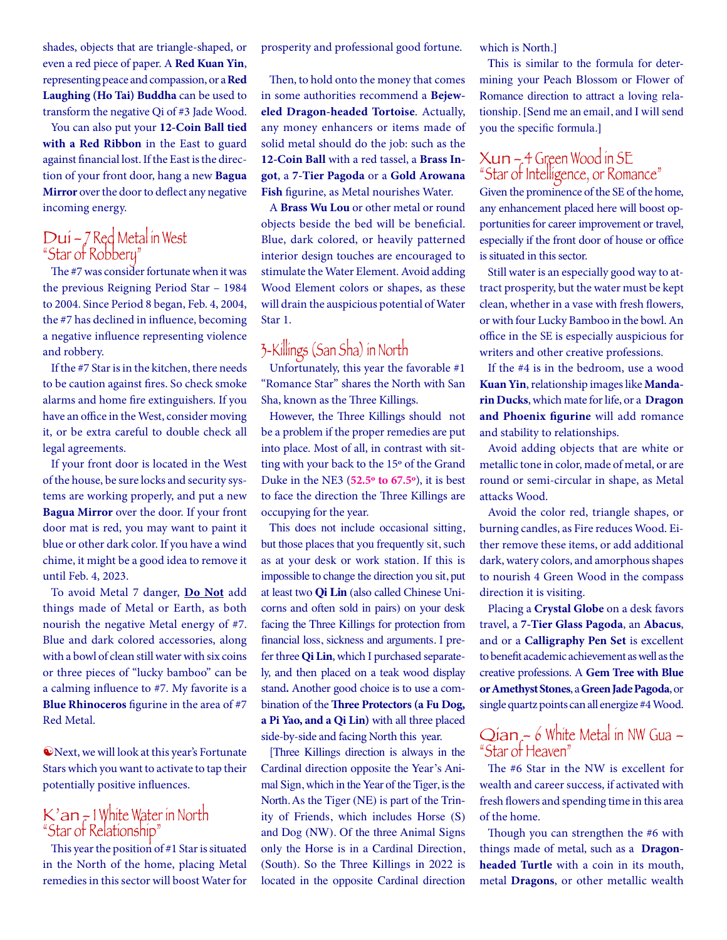shades, objects that are triangle-shaped, or even a red piece of paper. A **Red Kuan Yin**, representing peace and compassion, or a **Red Laughing (Ho Tai) Buddha** can be used to transform the negative Qi of #3 Jade Wood.

You can also put your **12-Coin Ball tied with a Red Ribbon** in the East to guard against financial lost. If the East is the direction of your front door, hang a new **Bagua Mirror** over the door to deflect any negative incoming energy.

## Dui – 7 Red Metal in West "Star of Robbery"

The #7 was consider fortunate when it was the previous Reigning Period Star – 1984 to 2004. Since Period 8 began, Feb. 4, 2004, the #7 has declined in influence, becoming a negative influence representing violence and robbery.

If the #7 Star is in the kitchen, there needs to be caution against fires. So check smoke alarms and home fire extinguishers. If you have an office in the West, consider moving it, or be extra careful to double check all legal agreements.

If your front door is located in the West of the house, be sure locks and security systems are working properly, and put a new **Bagua Mirror** over the door. If your front door mat is red, you may want to paint it blue or other dark color. If you have a wind chime, it might be a good idea to remove it until Feb. 4, 2023.

To avoid Metal 7 danger, **Do Not** add things made of Metal or Earth, as both nourish the negative Metal energy of #7. Blue and dark colored accessories, along with a bowl of clean still water with six coins or three pieces of "lucky bamboo" can be a calming influence to #7. My favorite is a **Blue Rhinoceros** figurine in the area of #7 Red Metal.

**Wext, we will look at this year's Fortunate** Stars which you want to activate to tap their potentially positive influences.

## K'an – 1 White Water in North "Star of Relationship"

This year the position of #1 Star is situated in the North of the home, placing Metal remedies in this sector will boost Water for

prosperity and professional good fortune.

Then, to hold onto the money that comes in some authorities recommend a **Bejeweled Dragon-headed Tortoise**. Actually, any money enhancers or items made of solid metal should do the job: such as the **12-Coin Ball** with a red tassel, a **Brass Ingot**, a **7-Tier Pagoda** or a **Gold Arowana Fish** figurine, as Metal nourishes Water.

A **Brass Wu Lou** or other metal or round objects beside the bed will be beneficial. Blue, dark colored, or heavily patterned interior design touches are encouraged to stimulate the Water Element. Avoid adding Wood Element colors or shapes, as these will drain the auspicious potential of Water Star 1.

## 3-Killings (San Sha) in North

Unfortunately, this year the favorable #1 "Romance Star" shares the North with San Sha, known as the Three Killings.

However, the Three Killings should not be a problem if the proper remedies are put into place. Most of all, in contrast with sitting with your back to the 15º of the Grand Duke in the NE3 (**52.5º to 67.5º**), it is best to face the direction the Three Killings are occupying for the year.

This does not include occasional sitting, but those places that you frequently sit, such as at your desk or work station. If this is impossible to change the direction you sit, put at least two **Qi Lin** (also called Chinese Unicorns and often sold in pairs) on your desk facing the Three Killings for protection from financial loss, sickness and arguments. I prefer three Qi Lin, which I purchased separately, and then placed on a teak wood display stand**.** Another good choice is to use a combination of the **Three Protectors (a Fu Dog, a Pi Yao, and a Qi Lin)** with all three placed side-by-side and facing North this year.

[Three Killings direction is always in the Cardinal direction opposite the Year's Animal Sign, which in the Year of the Tiger, is the North. As the Tiger (NE) is part of the Trinity of Friends, which includes Horse (S) and Dog (NW). Of the three Animal Signs only the Horse is in a Cardinal Direction, (South). So the Three Killings in 2022 is located in the opposite Cardinal direction which is North.]

This is similar to the formula for determining your Peach Blossom or Flower of Romance direction to attract a loving relationship. [Send me an email, and I will send you the specific formula.]

## Xun – 4 Green Wood in SE "Star of Intelligence, or Romance"

Given the prominence of the SE of the home, any enhancement placed here will boost opportunities for career improvement or travel, especially if the front door of house or office is situated in this sector.

Still water is an especially good way to attract prosperity, but the water must be kept clean, whether in a vase with fresh flowers, or with four Lucky Bamboo in the bowl. An office in the SE is especially auspicious for writers and other creative professions.

If the #4 is in the bedroom, use a wood **Kuan Yin**, relationship images like **Mandarin Ducks**, which mate for life, or a **Dragon and Phoenix figurine** will add romance and stability to relationships.

Avoid adding objects that are white or metallic tone in color, made of metal, or are round or semi-circular in shape, as Metal attacks Wood.

Avoid the color red, triangle shapes, or burning candles, as Fire reduces Wood. Either remove these items, or add additional dark, watery colors, and amorphous shapes to nourish 4 Green Wood in the compass direction it is visiting.

Placing a **Crystal Globe** on a desk favors travel, a **7-Tier Glass Pagoda**, an **Abacus**, and or a **Calligraphy Pen Set** is excellent to benefit academic achievement as well as the creative professions. A **Gem Tree with Blue or Amethyst Stones**, a **Green Jade Pagoda**, or single quartz points can all energize #4 Wood.

# Qian – 6 White Metal in NW Gua – "Star of Heaven"

The #6 Star in the NW is excellent for wealth and career success, if activated with fresh flowers and spending time in this area of the home.

Though you can strengthen the #6 with things made of metal, such as a **Dragonheaded Turtle** with a coin in its mouth, metal **Dragons**, or other metallic wealth